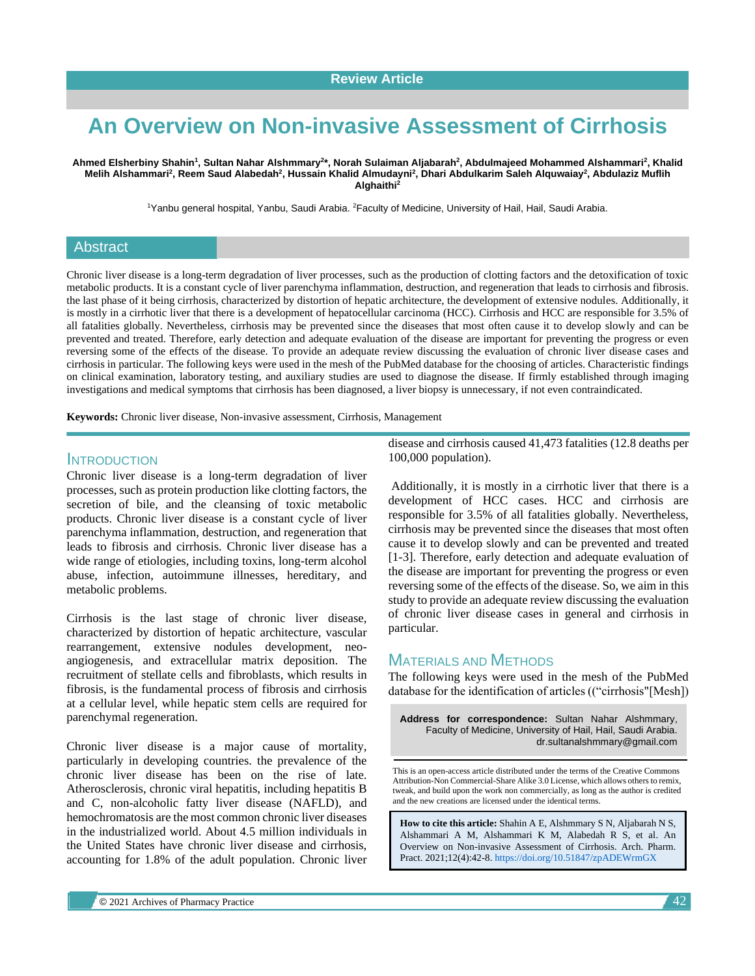# **An Overview on Non-invasive Assessment of Cirrhosis**

**Ahmed Elsherbiny Shahin<sup>1</sup> , Sultan Nahar Alshmmary<sup>2</sup> \*, Norah Sulaiman Aljabarah<sup>2</sup> , Abdulmajeed Mohammed Alshammari<sup>2</sup> , Khalid Melih Alshammari<sup>2</sup> , Reem Saud Alabedah<sup>2</sup> , Hussain Khalid Almudayni<sup>2</sup> , Dhari Abdulkarim Saleh Alquwaiay<sup>2</sup> , Abdulaziz Muflih Alghaithi<sup>2</sup>**

<sup>1</sup>Yanbu general hospital, Yanbu, Saudi Arabia. <sup>2</sup>Faculty of Medicine, University of Hail, Hail, Saudi Arabia.

#### Abstract

Chronic liver disease is a long-term degradation of liver processes, such as the production of clotting factors and the detoxification of toxic metabolic products. It is a constant cycle of liver parenchyma inflammation, destruction, and regeneration that leads to cirrhosis and fibrosis. the last phase of it being cirrhosis, characterized by distortion of hepatic architecture, the development of extensive nodules. Additionally, it is mostly in a cirrhotic liver that there is a development of hepatocellular carcinoma (HCC). Cirrhosis and HCC are responsible for 3.5% of all fatalities globally. Nevertheless, cirrhosis may be prevented since the diseases that most often cause it to develop slowly and can be prevented and treated. Therefore, early detection and adequate evaluation of the disease are important for preventing the progress or even reversing some of the effects of the disease. To provide an adequate review discussing the evaluation of chronic liver disease cases and cirrhosis in particular. The following keys were used in the mesh of the PubMed database for the choosing of articles. Characteristic findings on clinical examination, laboratory testing, and auxiliary studies are used to diagnose the disease. If firmly established through imaging investigations and medical symptoms that cirrhosis has been diagnosed, a liver biopsy is unnecessary, if not even contraindicated.

**Keywords:** Chronic liver disease, Non-invasive assessment, Cirrhosis, Management

### INTRODUCTION

Chronic liver disease is a long-term degradation of liver processes, such as protein production like clotting factors, the secretion of bile, and the cleansing of toxic metabolic products. Chronic liver disease is a constant cycle of liver parenchyma inflammation, destruction, and regeneration that leads to fibrosis and cirrhosis. Chronic liver disease has a wide range of etiologies, including toxins, long-term alcohol abuse, infection, autoimmune illnesses, hereditary, and metabolic problems.

Cirrhosis is the last stage of chronic liver disease, characterized by distortion of hepatic architecture, vascular rearrangement, extensive nodules development, neoangiogenesis, and extracellular matrix deposition. The recruitment of stellate cells and fibroblasts, which results in fibrosis, is the fundamental process of fibrosis and cirrhosis at a cellular level, while hepatic stem cells are required for parenchymal regeneration.

Chronic liver disease is a major cause of mortality, particularly in developing countries. the prevalence of the chronic liver disease has been on the rise of late. Atherosclerosis, chronic viral hepatitis, including hepatitis B and C, non-alcoholic fatty liver disease (NAFLD), and hemochromatosis are the most common chronic liver diseases in the industrialized world. About 4.5 million individuals in the United States have chronic liver disease and cirrhosis, accounting for 1.8% of the adult population. Chronic liver disease and cirrhosis caused 41,473 fatalities (12.8 deaths per 100,000 population).

Additionally, it is mostly in a cirrhotic liver that there is a development of HCC cases. HCC and cirrhosis are responsible for 3.5% of all fatalities globally. Nevertheless, cirrhosis may be prevented since the diseases that most often cause it to develop slowly and can be prevented and treated [1-3]. Therefore, early detection and adequate evaluation of the disease are important for preventing the progress or even reversing some of the effects of the disease. So, we aim in this study to provide an adequate review discussing the evaluation of chronic liver disease cases in general and cirrhosis in particular.

## MATERIALS AND METHODS

The following keys were used in the mesh of the PubMed database for the identification of articles (("cirrhosis"[Mesh])

**Address for correspondence:** Sultan Nahar Alshmmary, Faculty of Medicine, University of Hail, Hail, Saudi Arabia. dr.sultanalshmmary@gmail.com

This is an open-access article distributed under the terms of the Creative Commons Attribution-Non Commercial-Share Alike 3.0 License, which allows others to remix, tweak, and build upon the work non commercially, as long as the author is credited and the new creations are licensed under the identical terms.

**How to cite this article:** Shahin A E, Alshmmary S N, Aljabarah N S, Alshammari A M, Alshammari K M, Alabedah R S, et al. An Overview on Non-invasive Assessment of Cirrhosis. Arch. Pharm. Pract. 2021;12(4):42-8. <https://doi.org/10.51847/zpADEWrmGX>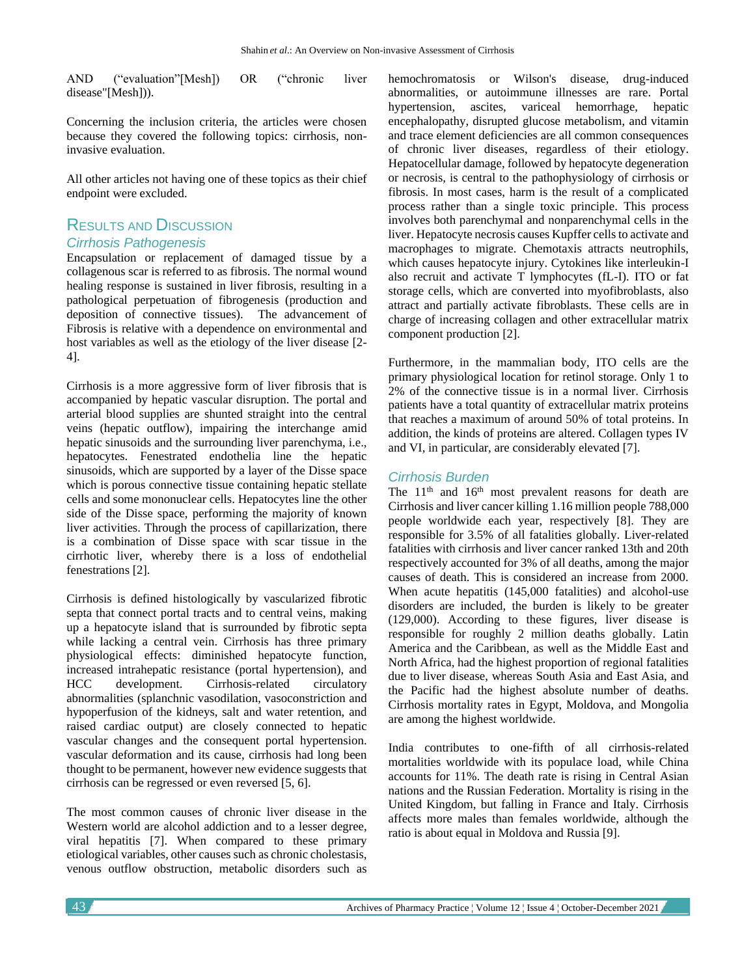AND ("evaluation"[Mesh]) OR ("chronic liver disease"[Mesh])).

Concerning the inclusion criteria, the articles were chosen because they covered the following topics: cirrhosis, noninvasive evaluation.

All other articles not having one of these topics as their chief endpoint were excluded.

## RESULTS AND DISCUSSION *Cirrhosis Pathogenesis*

Encapsulation or replacement of damaged tissue by a collagenous scar is referred to as fibrosis. The normal wound healing response is sustained in liver fibrosis, resulting in a pathological perpetuation of fibrogenesis (production and deposition of connective tissues). The advancement of Fibrosis is relative with a dependence on environmental and host variables as well as the etiology of the liver disease [2- 4].

Cirrhosis is a more aggressive form of liver fibrosis that is accompanied by hepatic vascular disruption. The portal and arterial blood supplies are shunted straight into the central veins (hepatic outflow), impairing the interchange amid hepatic sinusoids and the surrounding liver parenchyma, i.e., hepatocytes. Fenestrated endothelia line the hepatic sinusoids, which are supported by a layer of the Disse space which is porous connective tissue containing hepatic stellate cells and some mononuclear cells. Hepatocytes line the other side of the Disse space, performing the majority of known liver activities. Through the process of capillarization, there is a combination of Disse space with scar tissue in the cirrhotic liver, whereby there is a loss of endothelial fenestrations [2].

Cirrhosis is defined histologically by vascularized fibrotic septa that connect portal tracts and to central veins, making up a hepatocyte island that is surrounded by fibrotic septa while lacking a central vein. Cirrhosis has three primary physiological effects: diminished hepatocyte function, increased intrahepatic resistance (portal hypertension), and HCC development. Cirrhosis-related circulatory abnormalities (splanchnic vasodilation, vasoconstriction and hypoperfusion of the kidneys, salt and water retention, and raised cardiac output) are closely connected to hepatic vascular changes and the consequent portal hypertension. vascular deformation and its cause, cirrhosis had long been thought to be permanent, however new evidence suggests that cirrhosis can be regressed or even reversed [5, 6].

The most common causes of chronic liver disease in the Western world are alcohol addiction and to a lesser degree, viral hepatitis [7]. When compared to these primary etiological variables, other causes such as chronic cholestasis, venous outflow obstruction, metabolic disorders such as hemochromatosis or Wilson's disease, drug-induced abnormalities, or autoimmune illnesses are rare. Portal hypertension, ascites, variceal hemorrhage, hepatic encephalopathy, disrupted glucose metabolism, and vitamin and trace element deficiencies are all common consequences of chronic liver diseases, regardless of their etiology. Hepatocellular damage, followed by hepatocyte degeneration or necrosis, is central to the pathophysiology of cirrhosis or fibrosis. In most cases, harm is the result of a complicated process rather than a single toxic principle. This process involves both parenchymal and nonparenchymal cells in the liver. Hepatocyte necrosis causes Kupffer cells to activate and macrophages to migrate. Chemotaxis attracts neutrophils, which causes hepatocyte injury. Cytokines like interleukin-I also recruit and activate T lymphocytes (fL-I). ITO or fat storage cells, which are converted into myofibroblasts, also attract and partially activate fibroblasts. These cells are in charge of increasing collagen and other extracellular matrix component production [2].

Furthermore, in the mammalian body, ITO cells are the primary physiological location for retinol storage. Only 1 to 2% of the connective tissue is in a normal liver. Cirrhosis patients have a total quantity of extracellular matrix proteins that reaches a maximum of around 50% of total proteins. In addition, the kinds of proteins are altered. Collagen types IV and VI, in particular, are considerably elevated [7].

### *Cirrhosis Burden*

The 11<sup>th</sup> and 16<sup>th</sup> most prevalent reasons for death are Cirrhosis and liver cancer killing 1.16 million people 788,000 people worldwide each year, respectively [8]. They are responsible for 3.5% of all fatalities globally. Liver-related fatalities with cirrhosis and liver cancer ranked 13th and 20th respectively accounted for 3% of all deaths, among the major causes of death. This is considered an increase from 2000. When acute hepatitis (145,000 fatalities) and alcohol-use disorders are included, the burden is likely to be greater (129,000). According to these figures, liver disease is responsible for roughly 2 million deaths globally. Latin America and the Caribbean, as well as the Middle East and North Africa, had the highest proportion of regional fatalities due to liver disease, whereas South Asia and East Asia, and the Pacific had the highest absolute number of deaths. Cirrhosis mortality rates in Egypt, Moldova, and Mongolia are among the highest worldwide.

India contributes to one-fifth of all cirrhosis-related mortalities worldwide with its populace load, while China accounts for 11%. The death rate is rising in Central Asian nations and the Russian Federation. Mortality is rising in the United Kingdom, but falling in France and Italy. Cirrhosis affects more males than females worldwide, although the ratio is about equal in Moldova and Russia [9].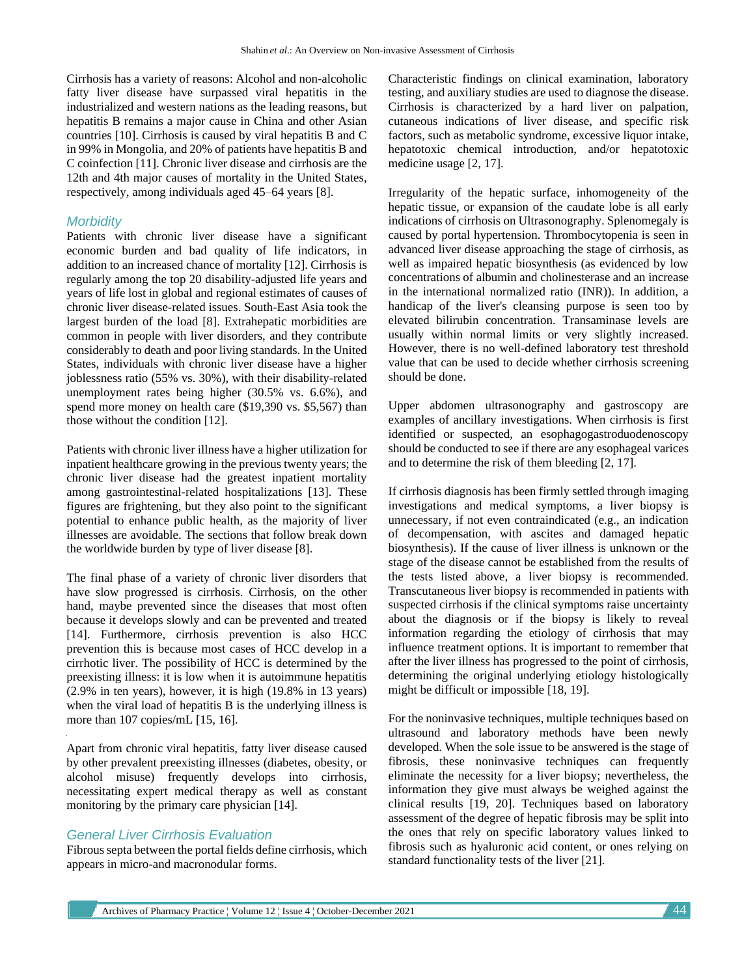Cirrhosis has a variety of reasons: Alcohol and non-alcoholic fatty liver disease have surpassed viral hepatitis in the industrialized and western nations as the leading reasons, but hepatitis B remains a major cause in China and other Asian countries [10]. Cirrhosis is caused by viral hepatitis B and C in 99% in Mongolia, and 20% of patients have hepatitis B and C coinfection [11]. Chronic liver disease and cirrhosis are the 12th and 4th major causes of mortality in the United States, respectively, among individuals aged 45–64 years [8].

#### *Morbidity*

Patients with chronic liver disease have a significant economic burden and bad quality of life indicators, in addition to an increased chance of mortality [12]. Cirrhosis is regularly among the top 20 disability-adjusted life years and years of life lost in global and regional estimates of causes of chronic liver disease-related issues. South-East Asia took the largest burden of the load [8]. Extrahepatic morbidities are common in people with liver disorders, and they contribute considerably to death and poor living standards. In the United States, individuals with chronic liver disease have a higher joblessness ratio (55% vs. 30%), with their disability-related unemployment rates being higher (30.5% vs. 6.6%), and spend more money on health care (\$19,390 vs. \$5,567) than those without the condition [12].

Patients with chronic liver illness have a higher utilization for inpatient healthcare growing in the previous twenty years; the chronic liver disease had the greatest inpatient mortality among gastrointestinal-related hospitalizations [13]. These figures are frightening, but they also point to the significant potential to enhance public health, as the majority of liver illnesses are avoidable. The sections that follow break down the worldwide burden by type of liver disease [8].

The final phase of a variety of chronic liver disorders that have slow progressed is cirrhosis. Cirrhosis, on the other hand, maybe prevented since the diseases that most often because it develops slowly and can be prevented and treated [14]. Furthermore, cirrhosis prevention is also HCC prevention this is because most cases of HCC develop in a cirrhotic liver. The possibility of HCC is determined by the preexisting illness: it is low when it is autoimmune hepatitis (2.9% in ten years), however, it is high (19.8% in 13 years) when the viral load of hepatitis B is the underlying illness is more than 107 copies/mL [15, 16].

Apart from chronic viral hepatitis, fatty liver disease caused by other prevalent preexisting illnesses (diabetes, obesity, or alcohol misuse) frequently develops into cirrhosis, necessitating expert medical therapy as well as constant monitoring by the primary care physician [14].

#### *General Liver Cirrhosis Evaluation*

Fibrous septa between the portal fields define cirrhosis, which appears in micro-and macronodular forms.

Characteristic findings on clinical examination, laboratory testing, and auxiliary studies are used to diagnose the disease. Cirrhosis is characterized by a hard liver on palpation, cutaneous indications of liver disease, and specific risk factors, such as metabolic syndrome, excessive liquor intake, hepatotoxic chemical introduction, and/or hepatotoxic medicine usage [2, 17].

Irregularity of the hepatic surface, inhomogeneity of the hepatic tissue, or expansion of the caudate lobe is all early indications of cirrhosis on Ultrasonography. Splenomegaly is caused by portal hypertension. Thrombocytopenia is seen in advanced liver disease approaching the stage of cirrhosis, as well as impaired hepatic biosynthesis (as evidenced by low concentrations of albumin and cholinesterase and an increase in the international normalized ratio (INR)). In addition, a handicap of the liver's cleansing purpose is seen too by elevated bilirubin concentration. Transaminase levels are usually within normal limits or very slightly increased. However, there is no well-defined laboratory test threshold value that can be used to decide whether cirrhosis screening should be done.

Upper abdomen ultrasonography and gastroscopy are examples of ancillary investigations. When cirrhosis is first identified or suspected, an esophagogastroduodenoscopy should be conducted to see if there are any esophageal varices and to determine the risk of them bleeding [2, 17].

If cirrhosis diagnosis has been firmly settled through imaging investigations and medical symptoms, a liver biopsy is unnecessary, if not even contraindicated (e.g., an indication of decompensation, with ascites and damaged hepatic biosynthesis). If the cause of liver illness is unknown or the stage of the disease cannot be established from the results of the tests listed above, a liver biopsy is recommended. Transcutaneous liver biopsy is recommended in patients with suspected cirrhosis if the clinical symptoms raise uncertainty about the diagnosis or if the biopsy is likely to reveal information regarding the etiology of cirrhosis that may influence treatment options. It is important to remember that after the liver illness has progressed to the point of cirrhosis, determining the original underlying etiology histologically might be difficult or impossible [18, 19].

For the noninvasive techniques, multiple techniques based on ultrasound and laboratory methods have been newly developed. When the sole issue to be answered is the stage of fibrosis, these noninvasive techniques can frequently eliminate the necessity for a liver biopsy; nevertheless, the information they give must always be weighed against the clinical results [19, 20]. Techniques based on laboratory assessment of the degree of hepatic fibrosis may be split into the ones that rely on specific laboratory values linked to fibrosis such as hyaluronic acid content, or ones relying on standard functionality tests of the liver [21].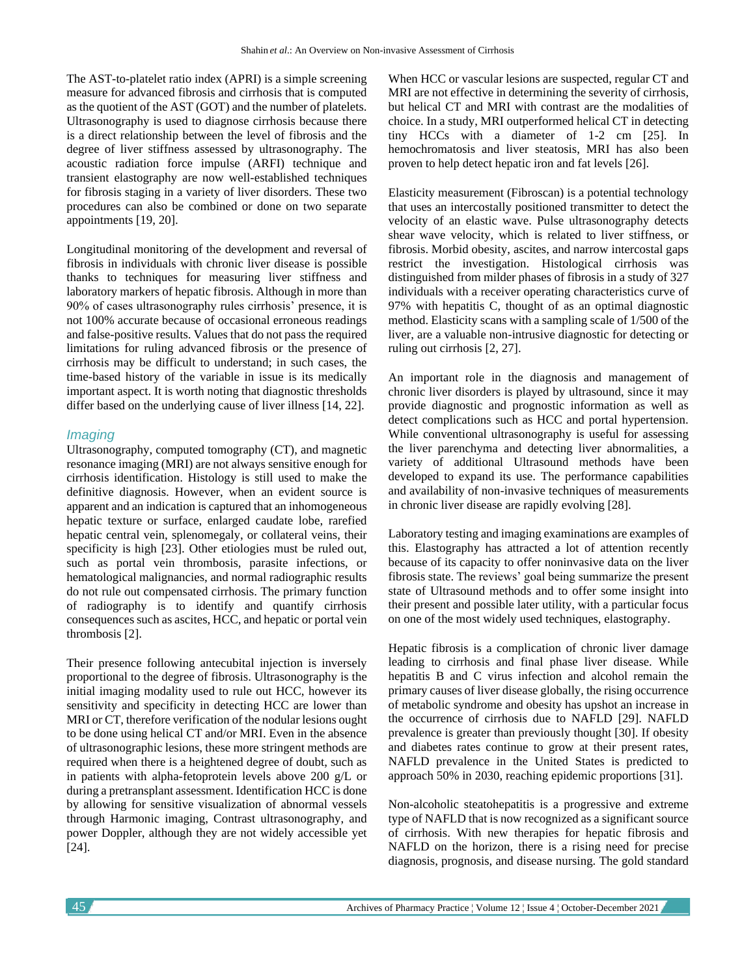The AST-to-platelet ratio index (APRI) is a simple screening measure for advanced fibrosis and cirrhosis that is computed as the quotient of the AST (GOT) and the number of platelets. Ultrasonography is used to diagnose cirrhosis because there is a direct relationship between the level of fibrosis and the degree of liver stiffness assessed by ultrasonography. The acoustic radiation force impulse (ARFI) technique and transient elastography are now well-established techniques for fibrosis staging in a variety of liver disorders. These two procedures can also be combined or done on two separate appointments [19, 20].

Longitudinal monitoring of the development and reversal of fibrosis in individuals with chronic liver disease is possible thanks to techniques for measuring liver stiffness and laboratory markers of hepatic fibrosis. Although in more than 90% of cases ultrasonography rules cirrhosis' presence, it is not 100% accurate because of occasional erroneous readings and false-positive results. Values that do not pass the required limitations for ruling advanced fibrosis or the presence of cirrhosis may be difficult to understand; in such cases, the time-based history of the variable in issue is its medically important aspect. It is worth noting that diagnostic thresholds differ based on the underlying cause of liver illness [14, 22].

#### *Imaging*

Ultrasonography, computed tomography (CT), and magnetic resonance imaging (MRI) are not always sensitive enough for cirrhosis identification. Histology is still used to make the definitive diagnosis. However, when an evident source is apparent and an indication is captured that an inhomogeneous hepatic texture or surface, enlarged caudate lobe, rarefied hepatic central vein, splenomegaly, or collateral veins, their specificity is high [23]. Other etiologies must be ruled out, such as portal vein thrombosis, parasite infections, or hematological malignancies, and normal radiographic results do not rule out compensated cirrhosis. The primary function of radiography is to identify and quantify cirrhosis consequences such as ascites, HCC, and hepatic or portal vein thrombosis [2].

Their presence following antecubital injection is inversely proportional to the degree of fibrosis. Ultrasonography is the initial imaging modality used to rule out HCC, however its sensitivity and specificity in detecting HCC are lower than MRI or CT, therefore verification of the nodular lesions ought to be done using helical CT and/or MRI. Even in the absence of ultrasonographic lesions, these more stringent methods are required when there is a heightened degree of doubt, such as in patients with alpha-fetoprotein levels above 200 g/L or during a pretransplant assessment. Identification HCC is done by allowing for sensitive visualization of abnormal vessels through Harmonic imaging, Contrast ultrasonography, and power Doppler, although they are not widely accessible yet [24].

When HCC or vascular lesions are suspected, regular CT and MRI are not effective in determining the severity of cirrhosis, but helical CT and MRI with contrast are the modalities of choice. In a study, MRI outperformed helical CT in detecting tiny HCCs with a diameter of 1-2 cm [25]. In hemochromatosis and liver steatosis, MRI has also been proven to help detect hepatic iron and fat levels [26].

Elasticity measurement (Fibroscan) is a potential technology that uses an intercostally positioned transmitter to detect the velocity of an elastic wave. Pulse ultrasonography detects shear wave velocity, which is related to liver stiffness, or fibrosis. Morbid obesity, ascites, and narrow intercostal gaps restrict the investigation. Histological cirrhosis was distinguished from milder phases of fibrosis in a study of 327 individuals with a receiver operating characteristics curve of 97% with hepatitis C, thought of as an optimal diagnostic method. Elasticity scans with a sampling scale of 1/500 of the liver, are a valuable non-intrusive diagnostic for detecting or ruling out cirrhosis [2, 27].

An important role in the diagnosis and management of chronic liver disorders is played by ultrasound, since it may provide diagnostic and prognostic information as well as detect complications such as HCC and portal hypertension. While conventional ultrasonography is useful for assessing the liver parenchyma and detecting liver abnormalities, a variety of additional Ultrasound methods have been developed to expand its use. The performance capabilities and availability of non-invasive techniques of measurements in chronic liver disease are rapidly evolving [28].

Laboratory testing and imaging examinations are examples of this. Elastography has attracted a lot of attention recently because of its capacity to offer noninvasive data on the liver fibrosis state. The reviews' goal being summarize the present state of Ultrasound methods and to offer some insight into their present and possible later utility, with a particular focus on one of the most widely used techniques, elastography.

Hepatic fibrosis is a complication of chronic liver damage leading to cirrhosis and final phase liver disease. While hepatitis B and C virus infection and alcohol remain the primary causes of liver disease globally, the rising occurrence of metabolic syndrome and obesity has upshot an increase in the occurrence of cirrhosis due to NAFLD [29]. NAFLD prevalence is greater than previously thought [30]. If obesity and diabetes rates continue to grow at their present rates, NAFLD prevalence in the United States is predicted to approach 50% in 2030, reaching epidemic proportions [31].

Non-alcoholic steatohepatitis is a progressive and extreme type of NAFLD that is now recognized as a significant source of cirrhosis. With new therapies for hepatic fibrosis and NAFLD on the horizon, there is a rising need for precise diagnosis, prognosis, and disease nursing. The gold standard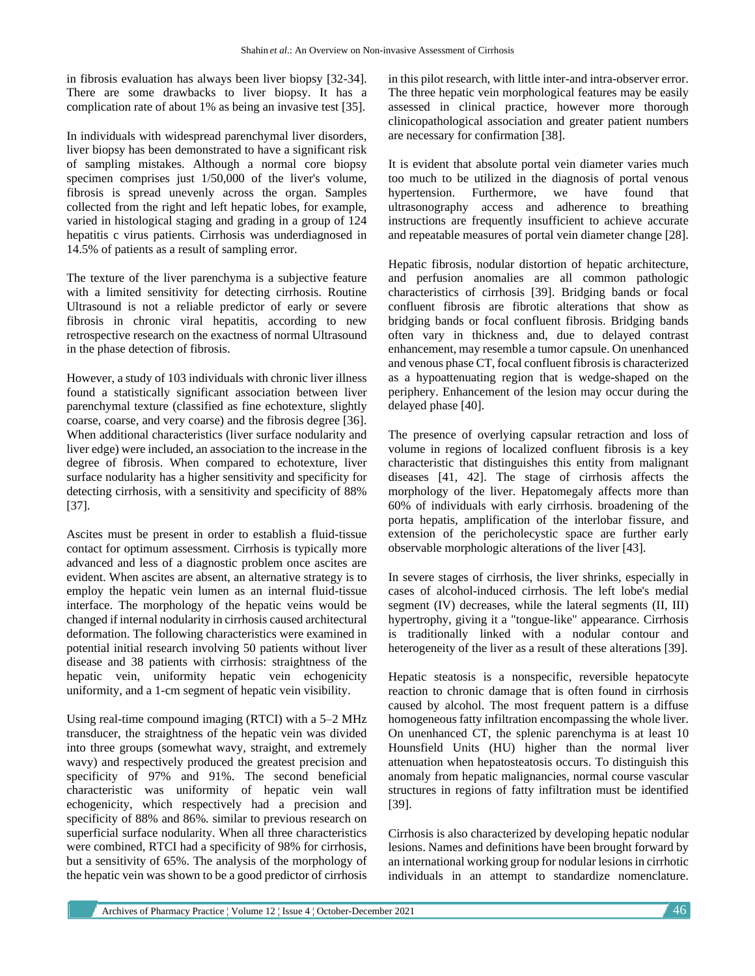in fibrosis evaluation has always been liver biopsy [32-34]. There are some drawbacks to liver biopsy. It has a complication rate of about 1% as being an invasive test [35].

In individuals with widespread parenchymal liver disorders, liver biopsy has been demonstrated to have a significant risk of sampling mistakes. Although a normal core biopsy specimen comprises just 1/50,000 of the liver's volume, fibrosis is spread unevenly across the organ. Samples collected from the right and left hepatic lobes, for example, varied in histological staging and grading in a group of 124 hepatitis c virus patients. Cirrhosis was underdiagnosed in 14.5% of patients as a result of sampling error.

The texture of the liver parenchyma is a subjective feature with a limited sensitivity for detecting cirrhosis. Routine Ultrasound is not a reliable predictor of early or severe fibrosis in chronic viral hepatitis, according to new retrospective research on the exactness of normal Ultrasound in the phase detection of fibrosis.

However, a study of 103 individuals with chronic liver illness found a statistically significant association between liver parenchymal texture (classified as fine echotexture, slightly coarse, coarse, and very coarse) and the fibrosis degree [36]. When additional characteristics (liver surface nodularity and liver edge) were included, an association to the increase in the degree of fibrosis. When compared to echotexture, liver surface nodularity has a higher sensitivity and specificity for detecting cirrhosis, with a sensitivity and specificity of 88% [37].

Ascites must be present in order to establish a fluid-tissue contact for optimum assessment. Cirrhosis is typically more advanced and less of a diagnostic problem once ascites are evident. When ascites are absent, an alternative strategy is to employ the hepatic vein lumen as an internal fluid-tissue interface. The morphology of the hepatic veins would be changed if internal nodularity in cirrhosis caused architectural deformation. The following characteristics were examined in potential initial research involving 50 patients without liver disease and 38 patients with cirrhosis: straightness of the hepatic vein, uniformity hepatic vein echogenicity uniformity, and a 1-cm segment of hepatic vein visibility.

Using real-time compound imaging (RTCI) with a 5–2 MHz transducer, the straightness of the hepatic vein was divided into three groups (somewhat wavy, straight, and extremely wavy) and respectively produced the greatest precision and specificity of 97% and 91%. The second beneficial characteristic was uniformity of hepatic vein wall echogenicity, which respectively had a precision and specificity of 88% and 86%. similar to previous research on superficial surface nodularity. When all three characteristics were combined, RTCI had a specificity of 98% for cirrhosis, but a sensitivity of 65%. The analysis of the morphology of the hepatic vein was shown to be a good predictor of cirrhosis in this pilot research, with little inter-and intra-observer error. The three hepatic vein morphological features may be easily assessed in clinical practice, however more thorough clinicopathological association and greater patient numbers are necessary for confirmation [38].

It is evident that absolute portal vein diameter varies much too much to be utilized in the diagnosis of portal venous hypertension. Furthermore, we have found that ultrasonography access and adherence to breathing instructions are frequently insufficient to achieve accurate and repeatable measures of portal vein diameter change [28].

Hepatic fibrosis, nodular distortion of hepatic architecture, and perfusion anomalies are all common pathologic characteristics of cirrhosis [39]. Bridging bands or focal confluent fibrosis are fibrotic alterations that show as bridging bands or focal confluent fibrosis. Bridging bands often vary in thickness and, due to delayed contrast enhancement, may resemble a tumor capsule. On unenhanced and venous phase CT, focal confluent fibrosis is characterized as a hypoattenuating region that is wedge-shaped on the periphery. Enhancement of the lesion may occur during the delayed phase [40].

The presence of overlying capsular retraction and loss of volume in regions of localized confluent fibrosis is a key characteristic that distinguishes this entity from malignant diseases [41, 42]. The stage of cirrhosis affects the morphology of the liver. Hepatomegaly affects more than 60% of individuals with early cirrhosis. broadening of the porta hepatis, amplification of the interlobar fissure, and extension of the pericholecystic space are further early observable morphologic alterations of the liver [43].

In severe stages of cirrhosis, the liver shrinks, especially in cases of alcohol-induced cirrhosis. The left lobe's medial segment (IV) decreases, while the lateral segments (II, III) hypertrophy, giving it a "tongue-like" appearance. Cirrhosis is traditionally linked with a nodular contour and heterogeneity of the liver as a result of these alterations [39].

Hepatic steatosis is a nonspecific, reversible hepatocyte reaction to chronic damage that is often found in cirrhosis caused by alcohol. The most frequent pattern is a diffuse homogeneous fatty infiltration encompassing the whole liver. On unenhanced CT, the splenic parenchyma is at least 10 Hounsfield Units (HU) higher than the normal liver attenuation when hepatosteatosis occurs. To distinguish this anomaly from hepatic malignancies, normal course vascular structures in regions of fatty infiltration must be identified [39].

Cirrhosis is also characterized by developing hepatic nodular lesions. Names and definitions have been brought forward by an international working group for nodular lesions in cirrhotic individuals in an attempt to standardize nomenclature.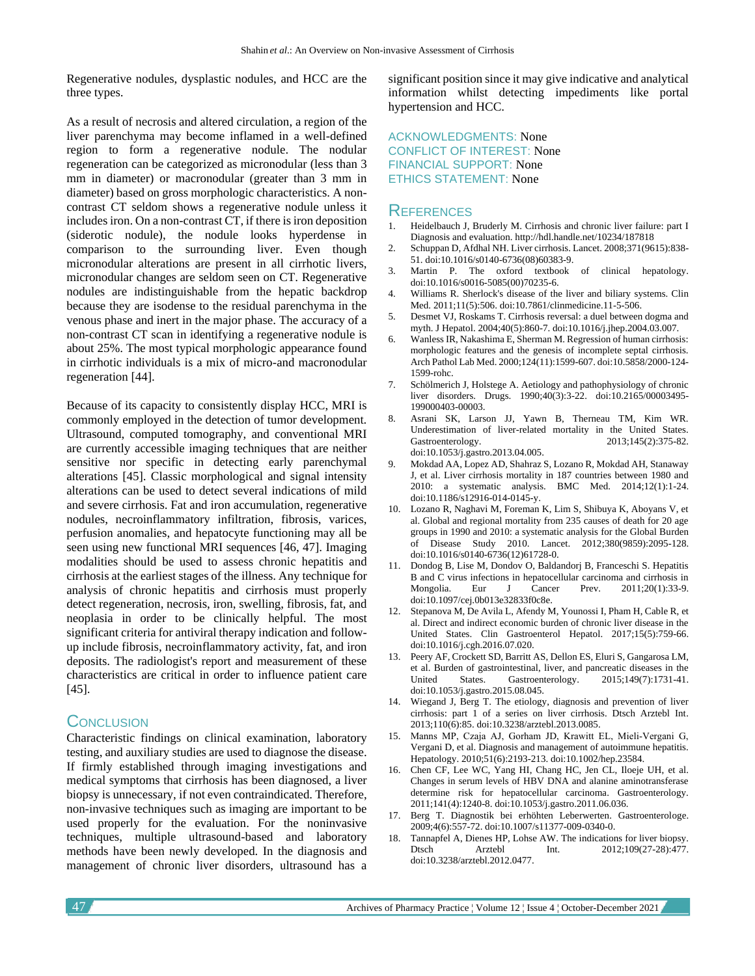Regenerative nodules, dysplastic nodules, and HCC are the three types.

As a result of necrosis and altered circulation, a region of the liver parenchyma may become inflamed in a well-defined region to form a regenerative nodule. The nodular regeneration can be categorized as micronodular (less than 3 mm in diameter) or macronodular (greater than 3 mm in diameter) based on gross morphologic characteristics. A noncontrast CT seldom shows a regenerative nodule unless it includes iron. On a non-contrast CT, if there is iron deposition (siderotic nodule), the nodule looks hyperdense in comparison to the surrounding liver. Even though micronodular alterations are present in all cirrhotic livers, micronodular changes are seldom seen on CT. Regenerative nodules are indistinguishable from the hepatic backdrop because they are isodense to the residual parenchyma in the venous phase and inert in the major phase. The accuracy of a non-contrast CT scan in identifying a regenerative nodule is about 25%. The most typical morphologic appearance found in cirrhotic individuals is a mix of micro-and macronodular regeneration [44].

Because of its capacity to consistently display HCC, MRI is commonly employed in the detection of tumor development. Ultrasound, computed tomography, and conventional MRI are currently accessible imaging techniques that are neither sensitive nor specific in detecting early parenchymal alterations [45]. Classic morphological and signal intensity alterations can be used to detect several indications of mild and severe cirrhosis. Fat and iron accumulation, regenerative nodules, necroinflammatory infiltration, fibrosis, varices, perfusion anomalies, and hepatocyte functioning may all be seen using new functional MRI sequences [46, 47]. Imaging modalities should be used to assess chronic hepatitis and cirrhosis at the earliest stages of the illness. Any technique for analysis of chronic hepatitis and cirrhosis must properly detect regeneration, necrosis, iron, swelling, fibrosis, fat, and neoplasia in order to be clinically helpful. The most significant criteria for antiviral therapy indication and followup include fibrosis, necroinflammatory activity, fat, and iron deposits. The radiologist's report and measurement of these characteristics are critical in order to influence patient care [45].

## **CONCLUSION**

Characteristic findings on clinical examination, laboratory testing, and auxiliary studies are used to diagnose the disease. If firmly established through imaging investigations and medical symptoms that cirrhosis has been diagnosed, a liver biopsy is unnecessary, if not even contraindicated. Therefore, non-invasive techniques such as imaging are important to be used properly for the evaluation. For the noninvasive techniques, multiple ultrasound-based and laboratory methods have been newly developed. In the diagnosis and management of chronic liver disorders, ultrasound has a

significant position since it may give indicative and analytical information whilst detecting impediments like portal hypertension and HCC.

ACKNOWLEDGMENTS: None CONFLICT OF INTEREST: None FINANCIAL SUPPORT: None ETHICS STATEMENT: None

#### **REFERENCES**

- 1. Heidelbauch J, Bruderly M. Cirrhosis and chronic liver failure: part I Diagnosis and evaluation. http://hdl.handle.net/10234/187818
- 2. Schuppan D, Afdhal NH. Liver cirrhosis. Lancet. 2008;371(9615):838- 51. doi:10.1016/s0140-6736(08)60383-9.
- 3. Martin P. The oxford textbook of clinical hepatology. doi:10.1016/s0016-5085(00)70235-6.
- 4. Williams R. Sherlock's disease of the liver and biliary systems. Clin Med. 2011;11(5):506. doi:10.7861/clinmedicine.11-5-506.
- 5. Desmet VJ, Roskams T. Cirrhosis reversal: a duel between dogma and myth. J Hepatol. 2004;40(5):860-7. doi:10.1016/j.jhep.2004.03.007.
- 6. Wanless IR, Nakashima E, Sherman M. Regression of human cirrhosis: morphologic features and the genesis of incomplete septal cirrhosis. Arch Pathol Lab Med. 2000;124(11):1599-607. doi:10.5858/2000-124- 1599-rohc.
- 7. Schölmerich J, Holstege A. Aetiology and pathophysiology of chronic liver disorders. Drugs. 1990;40(3):3-22. doi:10.2165/00003495- 199000403-00003.
- 8. Asrani SK, Larson JJ, Yawn B, Therneau TM, Kim WR. Underestimation of liver-related mortality in the United States. Gastroenterology. 2013;145(2):375-82. doi:10.1053/j.gastro.2013.04.005.
- 9. Mokdad AA, Lopez AD, Shahraz S, Lozano R, Mokdad AH, Stanaway J, et al. Liver cirrhosis mortality in 187 countries between 1980 and 2010: a systematic analysis. BMC Med. 2014;12(1):1-24. doi:10.1186/s12916-014-0145-y.
- 10. Lozano R, Naghavi M, Foreman K, Lim S, Shibuya K, Aboyans V, et al. Global and regional mortality from 235 causes of death for 20 age groups in 1990 and 2010: a systematic analysis for the Global Burden of Disease Study 2010. Lancet. 2012;380(9859):2095-128. doi:10.1016/s0140-6736(12)61728-0.
- 11. Dondog B, Lise M, Dondov O, Baldandorj B, Franceschi S. Hepatitis B and C virus infections in hepatocellular carcinoma and cirrhosis in Mongolia. Eur J Cancer Prev. 2011;20(1):33-9. Mongolia. Eur J Cancer Prev. 2011;20(1):33-9. doi:10.1097/cej.0b013e32833f0c8e.
- 12. Stepanova M, De Avila L, Afendy M, Younossi I, Pham H, Cable R, et al. Direct and indirect economic burden of chronic liver disease in the United States. Clin Gastroenterol Hepatol. 2017;15(5):759-66. doi:10.1016/j.cgh.2016.07.020.
- 13. Peery AF, Crockett SD, Barritt AS, Dellon ES, Eluri S, Gangarosa LM, et al. Burden of gastrointestinal, liver, and pancreatic diseases in the United States. Gastroenterology. 2015;149(7):1731-41. doi:10.1053/j.gastro.2015.08.045.
- 14. Wiegand J, Berg T. The etiology, diagnosis and prevention of liver cirrhosis: part 1 of a series on liver cirrhosis. Dtsch Arztebl Int. 2013;110(6):85. doi:10.3238/arztebl.2013.0085.
- 15. Manns MP, Czaja AJ, Gorham JD, Krawitt EL, Mieli‐Vergani G, Vergani D, et al. Diagnosis and management of autoimmune hepatitis. Hepatology. 2010;51(6):2193-213. doi:10.1002/hep.23584.
- 16. Chen CF, Lee WC, Yang HI, Chang HC, Jen CL, Iloeje UH, et al. Changes in serum levels of HBV DNA and alanine aminotransferase determine risk for hepatocellular carcinoma. Gastroenterology. 2011;141(4):1240-8. doi:10.1053/j.gastro.2011.06.036.
- 17. Berg T. Diagnostik bei erhöhten Leberwerten. Gastroenterologe. 2009;4(6):557-72. doi:10.1007/s11377-009-0340-0.
- 18. Tannapfel A, Dienes HP, Lohse AW. The indications for liver biopsy. Dtsch Arztebl Int. 2012;109(27-28):477. doi:10.3238/arztebl.2012.0477.